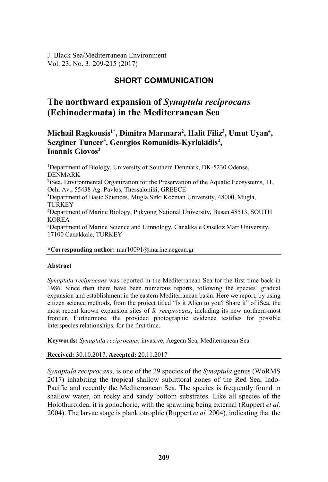J. Black Sea/Mediterranean Environment Vol. 23, No. 3: 209-215 (2017)

## **SHORT COMMUNICATION**

# **The northward expansion of** *Synaptula reciprocans* **(Echinodermata) in the Mediterranean Sea**

**Michail Ragkousis1\*, Dimitra Marmara2 , Halit Filiz3 , Umut Uyan4 ,**  Sezginer Tuncer<sup>5</sup>, Georgios Romanidis-Kyriakidis<sup>2</sup>, Ioannis Giovos<sup>2</sup>

<sup>1</sup>Department of Biology, University of Southern Denmark, DK-5230 Odense, DENMARK 2iSea, Environmental Organization for the Preservation of the Aquatic Ecosystems, 11, Ochi Av., 55438 Ag. Pavlos, Thessaloniki, GREECE 3Department of Basic Sciences, Mugla Sitki Kocman University, 48000, Mugla, TURKEY 4Department of Marine Biology, Pukyong National University, Busan 48513, SOUTH KOREA<br><sup>5</sup>Department of Marine Science and Limnology, Canakkale Onsekiz Mart University, 17100 Canakkale, TURKEY

### **\*Corresponding author:** mar10091@marine.aegean.gr

#### **Abstract**

*Synaptula reciprocans* was reported in the Mediterranean Sea for the first time back in 1986. Since then there have been numerous reports, following the species' gradual expansion and establishment in the eastern Mediterranean basin. Here we report, by using citizen science methods, from the project titled "Is it Alien to you? Share it" of iSea, the most recent known expansion sites of *S. reciprocans*, including its new northern-most frontier. Furthermore, the provided photographic evidence testifies for possible interspecies relationships, for the first time.

**Keywords:** *Synaptula reciprocans*, invasive, Aegean Sea, Mediterranean Sea

**Received:** 30.10.2017, **Accepted:** 20.11.2017

*Synaptula reciprocans,* is one of the 29 species of the *Synaptula* genus (WoRMS 2017) inhabiting the tropical shallow sublittoral zones of the Red Sea, Indo-Pacific and recently the Mediterranean Sea. The species is frequently found in shallow water, on rocky and sandy bottom substrates. Like all species of the Holothuroidea, it is gonochoric, with the spawning being external (Ruppert *et al.* 2004). The larvae stage is planktotrophic (Ruppert *et al.* 2004), indicating that the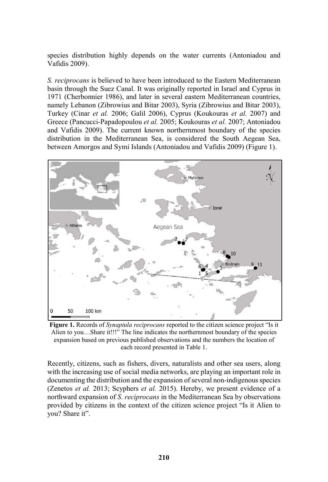species distribution highly depends on the water currents (Antoniadou and Vafidis 2009).

*S. reciprocans* is believed to have been introduced to the Eastern Mediterranean basin through the Suez Canal. It was originally reported in Israel and Cyprus in 1971 (Cherbonnier 1986), and later in several eastern Mediterranean countries, namely Lebanon (Zibrowius and Bitar 2003), Syria (Zibrowius and Bitar 2003), Turkey (Cinar *et al.* 2006; Galil 2006), Cyprus (Koukouras *et al.* 2007) and Greece (Pancucci-Papadopoulou *et al.* 2005; Koukouras *et al.* 2007; Antoniadou and Vafidis 2009). The current known northernmost boundary of the species distribution in the Mediterranean Sea, is considered the South Aegean Sea, between Amorgos and Symi Islands (Antoniadou and Vafidis 2009) (Figure 1).



**Figure 1.** Records of *Synaptula reciprocans* reported to the citizen science project "Is it Alien to you…Share it!!!" The line indicates the northernmost boundary of the species expansion based on previous published observations and the numbers the location of each record presented in Table 1.

Recently, citizens, such as fishers, divers, naturalists and other sea users, along with the increasing use of social media networks, are playing an important role in documenting the distribution and the expansion of several non-indigenous species (Zenetos *et al.* 2013; Scyphers *et al.* 2015). Hereby, we present evidence of a northward expansion of *S. reciprocans* in the Mediterranean Sea by observations provided by citizens in the context of the citizen science project "Is it Alien to you? Share it".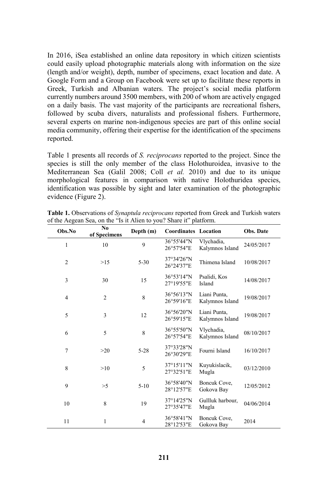In 2016, iSea established an online data repository in which citizen scientists could easily upload photographic materials along with information on the size (length and/or weight), depth, number of specimens, exact location and date. A Google Form and a Group on Facebook were set up to facilitate these reports in Greek, Turkish and Albanian waters. The project's social media platform currently numbers around 3500 members, with 200 of whom are actively engaged on a daily basis. The vast majority of the participants are recreational fishers, followed by scuba divers, naturalists and professional fishers. Furthermore, several experts on marine non-indigenous species are part of this online social media community, offering their expertise for the identification of the specimens reported.

Table 1 presents all records of *S. reciprocans* reported to the project. Since the species is still the only member of the class Holothuroidea, invasive to the Mediterranean Sea (Galil 2008; Coll *et al.* 2010) and due to its unique morphological features in comparison with native Holothuridea species, identification was possible by sight and later examination of the photographic evidence (Figure 2).

| Obs.No         | No.<br>of Specimens | Depth (m) | <b>Coordinates Location</b> |                                 | Obs. Date  |
|----------------|---------------------|-----------|-----------------------------|---------------------------------|------------|
| 1              | 10                  | 9         | 36°55'44"N<br>26°57'54"E    | Vlychadia,<br>Kalymnos Island   | 24/05/2017 |
| $\overline{2}$ | >15                 | $5 - 30$  | 37°34'26"N<br>26°24'37"E    | Thimena Island                  | 10/08/2017 |
| 3              | 30                  | 15        | 36°53'14"N<br>27°19'55"E    | Psalidi, Kos<br>Island          | 14/08/2017 |
| 4              | $\overline{2}$      | 8         | 36°56'13"N<br>26°59'16"E    | Liani Punta.<br>Kalymnos Island | 19/08/2017 |
| 5              | 3                   | 12        | 36°56'20"N<br>26°59'15"E    | Liani Punta,<br>Kalymnos Island | 19/08/2017 |
| 6              | 5                   | 8         | 36°55'50"N<br>26°57'54"E    | Vlychadia,<br>Kalymnos Island   | 08/10/2017 |
| $\overline{7}$ | >20                 | $5 - 28$  | 37°33'28"N<br>26°30'29"E    | Fourni Island                   | 16/10/2017 |
| 8              | >10                 | 5         | 37°15'11"N<br>27°32'51"E    | Kuyukislacik,<br>Mugla          | 03/12/2010 |
| 9              | >5                  | $5-10$    | 36°58'40"N<br>28°12'57"E    | Boncuk Cove,<br>Gokova Bay      | 12/05/2012 |
| 10             | 8                   | 19        | 37°14'25"N<br>27°35'47"E    | Gullluk harbour,<br>Mugla       | 04/06/2014 |
| 11             | $\mathbf{1}$        | 4         | 36°58'41"N<br>28°12'53"E    | Boncuk Cove,<br>Gokova Bay      | 2014       |

**Table 1.** Observations of *Synaptula reciprocans* reported from Greek and Turkish waters of the Aegean Sea, on the "Is it Alien to you? Share it" platform.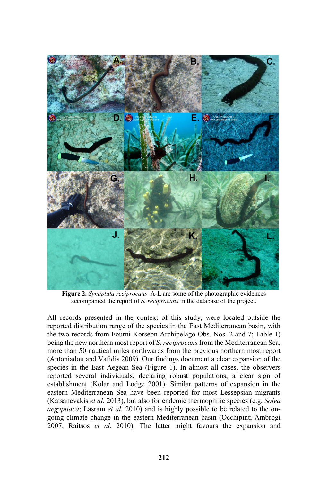

**Figure 2.** *Synaptula reciprocans*. A-L are some of the photographic evidences accompanied the report of *S. reciprocans* in the database of the project.

All records presented in the context of this study, were located outside the reported distribution range of the species in the East Mediterranean basin, with the two records from Fourni Korseon Archipelago Obs. Nos. 2 and 7; Table 1) being the new northern most report of *S. reciprocans* from the Mediterranean Sea, more than 50 nautical miles northwards from the previous northern most report (Antoniadou and Vafidis 2009). Our findings document a clear expansion of the species in the East Aegean Sea (Figure 1). In almost all cases, the observers reported several individuals, declaring robust populations, a clear sign of establishment (Kolar and Lodge 2001). Similar patterns of expansion in the eastern Mediterranean Sea have been reported for most Lessepsian migrants (Katsanevakis *et al.* 2013), but also for endemic thermophilic species (e.g. *Solea aegyptiaca*; Lasram *et al.* 2010) and is highly possible to be related to the ongoing climate change in the eastern Mediterranean basin (Occhipinti-Ambrogi 2007; Raitsos *et al.* 2010). The latter might favours the expansion and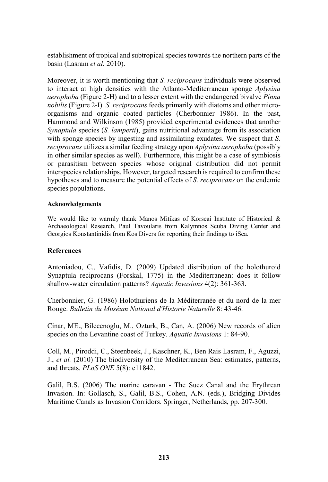establishment of tropical and subtropical species towards the northern parts of the basin (Lasram *et al.* 2010).

Moreover, it is worth mentioning that *S. reciprocans* individuals were observed to interact at high densities with the Atlanto-Mediterranean sponge *Aplysina aerophoba* (Figure 2-H) and to a lesser extent with the endangered bivalve *Pinna nobilis* (Figure 2-I). *S. reciprocans* feeds primarily with diatoms and other microorganisms and organic coated particles (Cherbonnier 1986). In the past, Hammond and Wilkinson (1985) provided experimental evidences that another *Synaptula* species (*S. lamperti*), gains nutritional advantage from its association with sponge species by ingesting and assimilating exudates. We suspect that *S. reciprocans* utilizes a similar feeding strategy upon *Aplysina aerophoba* (possibly in other similar species as well). Furthermore, this might be a case of symbiosis or parasitism between species whose original distribution did not permit interspecies relationships. However, targeted research is required to confirm these hypotheses and to measure the potential effects of *S. reciprocans* on the endemic species populations.

## **Acknowledgements**

We would like to warmly thank Manos Mitikas of Korseai Institute of Historical & Archaeological Research, Paul Tavoularis from Kalymnos Scuba Diving Center and Georgios Konstantinidis from Kos Divers for reporting their findings to iSea.

## **References**

Antoniadou, C., Vafidis, D. (2009) Updated distribution of the holothuroid Synaptula reciprocans (Forskal, 1775) in the Mediterranean: does it follow shallow-water circulation patterns? *Aquatic Invasions* 4(2): 361-363.

Cherbonnier, G. (1986) Holothuriens de la Méditerranée et du nord de la mer Rouge. *Bulletin du Muséum National d'Historie Naturelle* 8: 43-46.

Cinar, ME., Bilecenoglu, M., Ozturk, B., Can, A. (2006) New records of alien species on the Levantine coast of Turkey. *Aquatic Invasions* 1: 84-90.

Coll, M., Piroddi, C., Steenbeek, J., Kaschner, K., Ben Rais Lasram, F., Aguzzi, J., *et al.* (2010) The biodiversity of the Mediterranean Sea: estimates, patterns, and threats. *PLoS ONE* 5(8): e11842.

Galil, B.S. (2006) The marine caravan - The Suez Canal and the Erythrean Invasion. In: Gollasch, S., Galil, B.S., Cohen, A.N. (eds.), Bridging Divides Maritime Canals as Invasion Corridors. Springer, Netherlands, pp. 207-300.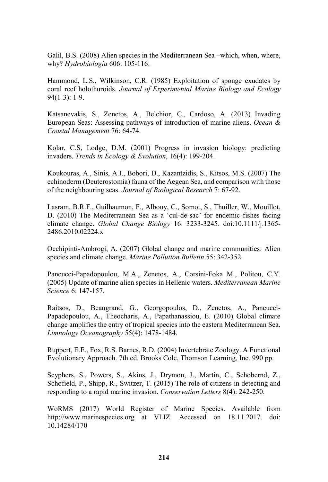Galil, B.S. (2008) Alien species in the Mediterranean Sea –which, when, where, why? *Hydrobiologia* 606: 105-116.

Hammond, L.S., Wilkinson, C.R. (1985) Exploitation of sponge exudates by coral reef holothuroids. *Journal of Experimental Marine Biology and Ecology* 94(1-3): 1-9.

Katsanevakis, S., Zenetos, A., Belchior, C., Cardoso, A. (2013) Invading European Seas: Assessing pathways of introduction of marine aliens. *Ocean & Coastal Management* 76: 64-74.

Kolar, C.S, Lodge, D.M. (2001) Progress in invasion biology: predicting invaders. *Trends in Ecology & Evolution*, 16(4): 199-204.

Koukouras, A., Sinis, A.I., Bobori, D., Kazantzidis, S., Kitsos, M.S. (2007) The echinoderm (Deuterostomia) fauna of the Aegean Sea, and comparison with those of the neighbouring seas. *Journal of Biological Research* 7: 67-92.

Lasram, B.R.F., Guilhaumon, F., Albouy, C., Somot, S., Thuiller, W., Mouillot, D. (2010) The Mediterranean Sea as a 'cul-de-sac' for endemic fishes facing climate change. *Global Change Biology* 16: 3233-3245. doi:10.1111/j.1365- 2486.2010.02224.x

Occhipinti-Ambrogi, A. (2007) Global change and marine communities: Alien species and climate change. *Marine Pollution Bulletin* 55: 342-352.

Pancucci-Papadopoulou, M.A., Zenetos, A., Corsini-Foka M., Politou, C.Y. (2005) Update of marine alien species in Hellenic waters. *Mediterranean Marine Science* 6: 147-157.

Raitsos, D., Beaugrand, G., Georgopoulos, D., Zenetos, A., Pancucci-Papadopoulou, A., Theocharis, A., Papathanassiou, E. (2010) Global climate change amplifies the entry of tropical species into the eastern Mediterranean Sea. *Limnology Oceanography* 55(4): 1478-1484.

Ruppert, E.E., Fox, R.S. Barnes, R.D. (2004) Invertebrate Zoology. A Functional Evolutionary Approach. 7th ed. Brooks Cole, Thomson Learning, Inc. 990 pp.

Scyphers, S., Powers, S., Akins, J., Drymon, J., Martin, C., Schobernd, Z., Schofield, P., Shipp, R., Switzer, T. (2015) The role of citizens in detecting and responding to a rapid marine invasion. *Conservation Letters* 8(4): 242-250.

WoRMS (2017) World Register of Marine Species. Available from http://www.marinespecies.org at VLIZ. Accessed on 18.11.2017. doi: 10.14284/170